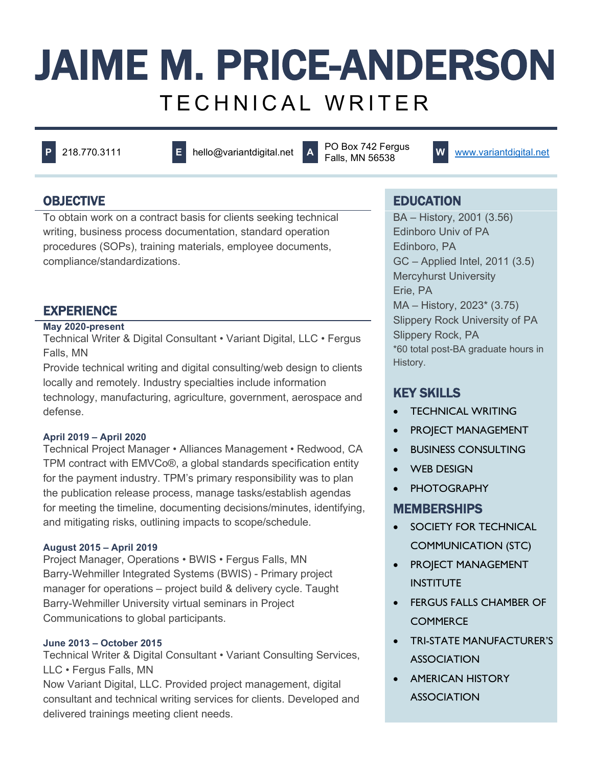# JAIME M. PRICE-ANDERSON TECHNICAL WRITER

**<sup>P</sup>** 218.770.3111 **<sup>E</sup>** hello@variantdigital.net **<sup>A</sup>** PO Box 742 Fergus

**W** [www.variantdigital.net](http://www.variantdigital.net/)

To obtain work on a contract basis for clients seeking technical writing, business process documentation, standard operation procedures (SOPs), training materials, employee documents, compliance/standardizations.

# **EXPERIENCE**

# **May 2020-present**

Technical Writer & Digital Consultant • Variant Digital, LLC • Fergus Falls, MN

Provide technical writing and digital consulting/web design to clients locally and remotely. Industry specialties include information technology, manufacturing, agriculture, government, aerospace and defense.

# **April 2019 – April 2020**

Technical Project Manager • Alliances Management • Redwood, CA TPM contract with EMVCo®, a global standards specification entity for the payment industry. TPM's primary responsibility was to plan the publication release process, manage tasks/establish agendas for meeting the timeline, documenting decisions/minutes, identifying, and mitigating risks, outlining impacts to scope/schedule.

# **August 2015 – April 2019**

Project Manager, Operations • BWIS • Fergus Falls, MN Barry-Wehmiller Integrated Systems (BWIS) - Primary project manager for operations – project build & delivery cycle. Taught Barry-Wehmiller University virtual seminars in Project Communications to global participants.

### **June 2013 – October 2015**

Technical Writer & Digital Consultant • Variant Consulting Services, LLC • Fergus Falls, MN

Now Variant Digital, LLC. Provided project management, digital consultant and technical writing services for clients. Developed and delivered trainings meeting client needs.

# OBJECTIVE **EDUCATION**

BA – History, 2001 (3.56) Edinboro Univ of PA Edinboro, PA GC – Applied Intel, 2011 (3.5) Mercyhurst University Erie, PA MA – History, 2023\* (3.75) Slippery Rock University of PA Slippery Rock, PA \*60 total post-BA graduate hours in History.

# KEY SKILLS

- **TECHNICAL WRITING**
- PROJECT MANAGEMENT
- BUSINESS CONSULTING
- WEB DESIGN
- **PHOTOGRAPHY**

# **MEMBERSHIPS**

- SOCIETY FOR TECHNICAL COMMUNICATION (STC)
- PROJECT MANAGEMENT **INSTITUTE**
- **FERGUS FALLS CHAMBER OF COMMERCE**
- TRI-STATE MANUFACTURER'S **ASSOCIATION**
- AMERICAN HISTORY **ASSOCIATION**